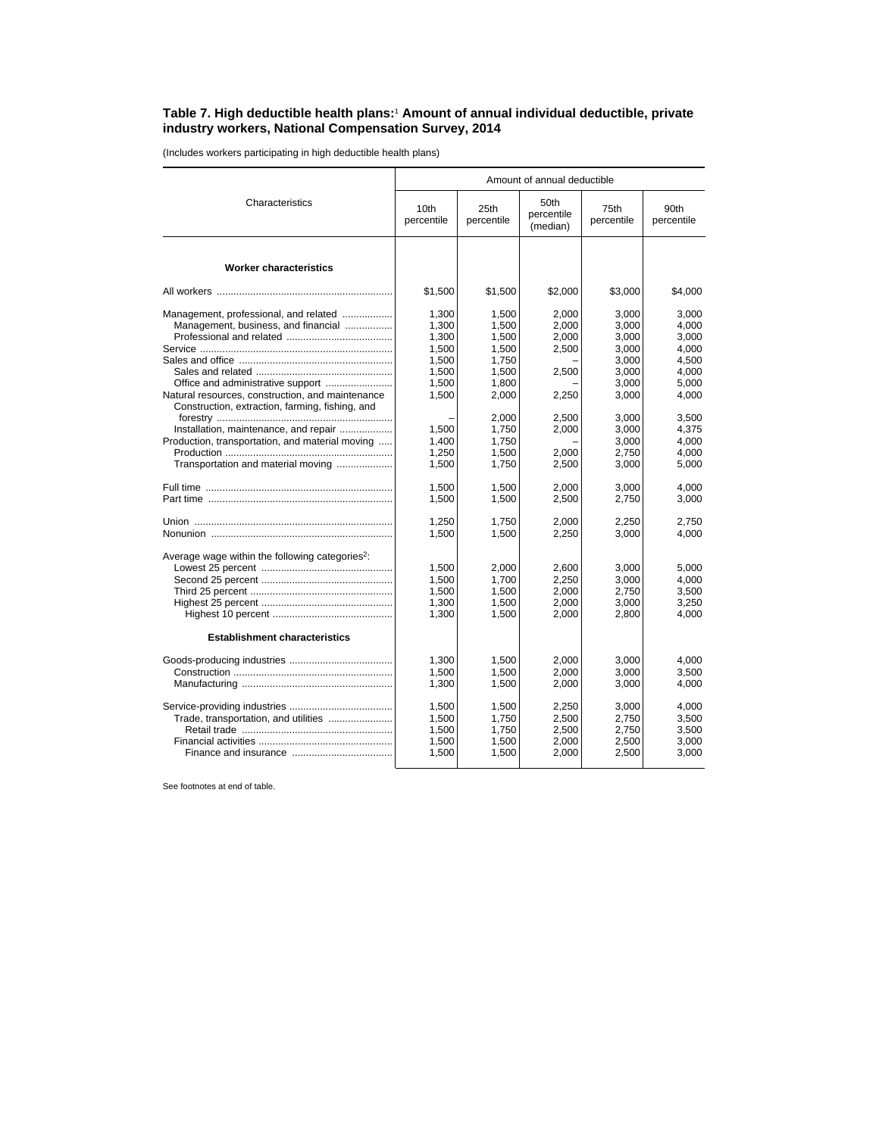## **Table 7. High deductible health plans:**<sup>1</sup>  **Amount of annual individual deductible, private industry workers, National Compensation Survey, 2014**

(Includes workers participating in high deductible health plans)

|                                                                                                                                | Amount of annual deductible               |                                           |                                           |                                           |                                           |  |
|--------------------------------------------------------------------------------------------------------------------------------|-------------------------------------------|-------------------------------------------|-------------------------------------------|-------------------------------------------|-------------------------------------------|--|
| Characteristics                                                                                                                | 10th<br>percentile                        | 25th<br>percentile                        | 50th<br>percentile<br>(median)            | 75th<br>percentile                        | 90th<br>percentile                        |  |
| <b>Worker characteristics</b>                                                                                                  |                                           |                                           |                                           |                                           |                                           |  |
|                                                                                                                                | \$1,500                                   | \$1,500                                   | \$2,000                                   | \$3,000                                   | \$4,000                                   |  |
| Management, professional, and related<br>Management, business, and financial                                                   | 1,300<br>1,300<br>1,300<br>1,500<br>1.500 | 1,500<br>1,500<br>1,500<br>1,500<br>1.750 | 2.000<br>2,000<br>2,000<br>2,500          | 3.000<br>3.000<br>3,000<br>3,000<br>3.000 | 3.000<br>4.000<br>3,000<br>4,000<br>4.500 |  |
|                                                                                                                                | 1,500<br>1,500                            | 1,500<br>1,800                            | 2,500                                     | 3,000<br>3,000                            | 4.000<br>5,000                            |  |
| Natural resources, construction, and maintenance<br>Construction, extraction, farming, fishing, and                            | 1,500                                     | 2,000                                     | 2,250                                     | 3,000                                     | 4,000                                     |  |
| Installation, maintenance, and repair<br>Production, transportation, and material moving<br>Transportation and material moving | 1,500<br>1,400<br>1,250<br>1,500          | 2.000<br>1,750<br>1,750<br>1,500<br>1,750 | 2.500<br>2,000<br>2.000<br>2,500          | 3.000<br>3,000<br>3,000<br>2,750<br>3,000 | 3.500<br>4,375<br>4.000<br>4.000<br>5,000 |  |
|                                                                                                                                | 1.500<br>1,500                            | 1.500<br>1,500                            | 2.000<br>2,500                            | 3.000<br>2,750                            | 4.000<br>3,000                            |  |
|                                                                                                                                | 1,250<br>1,500                            | 1,750<br>1,500                            | 2,000<br>2,250                            | 2,250<br>3,000                            | 2.750<br>4,000                            |  |
| Average wage within the following categories <sup>2</sup> :                                                                    | 1,500<br>1,500<br>1,500<br>1,300<br>1,300 | 2,000<br>1,700<br>1,500<br>1,500<br>1,500 | 2,600<br>2.250<br>2,000<br>2,000<br>2.000 | 3,000<br>3,000<br>2,750<br>3,000<br>2,800 | 5.000<br>4.000<br>3,500<br>3,250<br>4,000 |  |
| <b>Establishment characteristics</b>                                                                                           |                                           |                                           |                                           |                                           |                                           |  |
|                                                                                                                                | 1,300<br>1,500<br>1,300                   | 1,500<br>1.500<br>1,500                   | 2,000<br>2.000<br>2,000                   | 3,000<br>3,000<br>3,000                   | 4.000<br>3,500<br>4,000                   |  |
| Trade, transportation, and utilities                                                                                           | 1,500<br>1,500<br>1,500<br>1.500<br>1,500 | 1,500<br>1,750<br>1,750<br>1,500<br>1,500 | 2,250<br>2,500<br>2,500<br>2.000<br>2,000 | 3,000<br>2,750<br>2.750<br>2.500<br>2,500 | 4.000<br>3,500<br>3,500<br>3.000<br>3,000 |  |

See footnotes at end of table.